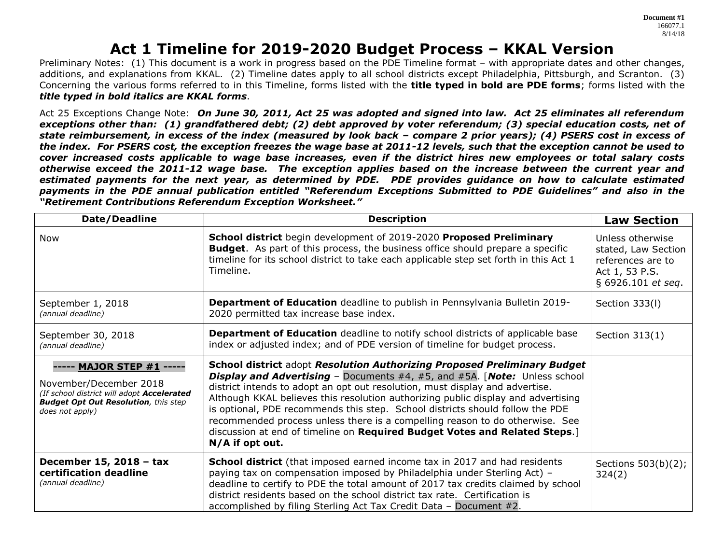# **Act 1 Timeline for 2019-2020 Budget Process – KKAL Version**

Preliminary Notes: (1) This document is a work in progress based on the PDE Timeline format – with appropriate dates and other changes, additions, and explanations from KKAL. (2) Timeline dates apply to all school districts except Philadelphia, Pittsburgh, and Scranton. (3) Concerning the various forms referred to in this Timeline, forms listed with the **title typed in bold are PDE forms**; forms listed with the *title typed in bold italics are KKAL forms*.

Act 25 Exceptions Change Note: *On June 30, 2011, Act 25 was adopted and signed into law. Act 25 eliminates all referendum exceptions other than: (1) grandfathered debt; (2) debt approved by voter referendum; (3) special education costs, net of state reimbursement, in excess of the index (measured by look back – compare 2 prior years); (4) PSERS cost in excess of the index. For PSERS cost, the exception freezes the wage base at 2011-12 levels, such that the exception cannot be used to cover increased costs applicable to wage base increases, even if the district hires new employees or total salary costs otherwise exceed the 2011-12 wage base. The exception applies based on the increase between the current year and estimated payments for the next year, as determined by PDE. PDE provides guidance on how to calculate estimated payments in the PDE annual publication entitled "Referendum Exceptions Submitted to PDE Guidelines" and also in the "Retirement Contributions Referendum Exception Worksheet."* 

| Date/Deadline                                                                                                                                                                                                                                                             | <b>Description</b>                                                                                                                                                                                                                                                                                                                                                                                                                                                                                                                                                                                    | <b>Law Section</b>                                                                                   |
|---------------------------------------------------------------------------------------------------------------------------------------------------------------------------------------------------------------------------------------------------------------------------|-------------------------------------------------------------------------------------------------------------------------------------------------------------------------------------------------------------------------------------------------------------------------------------------------------------------------------------------------------------------------------------------------------------------------------------------------------------------------------------------------------------------------------------------------------------------------------------------------------|------------------------------------------------------------------------------------------------------|
| School district begin development of 2019-2020 Proposed Preliminary<br>Now<br><b>Budget.</b> As part of this process, the business office should prepare a specific<br>timeline for its school district to take each applicable step set forth in this Act 1<br>Timeline. |                                                                                                                                                                                                                                                                                                                                                                                                                                                                                                                                                                                                       | Unless otherwise<br>stated, Law Section<br>references are to<br>Act 1, 53 P.S.<br>§ 6926.101 et seq. |
| September 1, 2018<br>(annual deadline)                                                                                                                                                                                                                                    | <b>Department of Education</b> deadline to publish in Pennsylvania Bulletin 2019-<br>2020 permitted tax increase base index.                                                                                                                                                                                                                                                                                                                                                                                                                                                                          | Section 333(I)                                                                                       |
| September 30, 2018<br>(annual deadline)                                                                                                                                                                                                                                   | Department of Education deadline to notify school districts of applicable base<br>index or adjusted index; and of PDE version of timeline for budget process.                                                                                                                                                                                                                                                                                                                                                                                                                                         | Section 313(1)                                                                                       |
| ----- MAJOR STEP #1 -----<br>November/December 2018<br>(If school district will adopt Accelerated<br><b>Budget Opt Out Resolution, this step</b><br>does not apply)                                                                                                       | School district adopt Resolution Authorizing Proposed Preliminary Budget<br><b>Display and Advertising</b> – Documents #4, #5, and #5A. [Note: Unless school<br>district intends to adopt an opt out resolution, must display and advertise.<br>Although KKAL believes this resolution authorizing public display and advertising<br>is optional, PDE recommends this step. School districts should follow the PDE<br>recommended process unless there is a compelling reason to do otherwise. See<br>discussion at end of timeline on Required Budget Votes and Related Steps.]<br>$N/A$ if opt out. |                                                                                                      |
| December 15, 2018 - tax<br>certification deadline<br>(annual deadline)                                                                                                                                                                                                    | <b>School district</b> (that imposed earned income tax in 2017 and had residents<br>paying tax on compensation imposed by Philadelphia under Sterling Act) -<br>deadline to certify to PDE the total amount of 2017 tax credits claimed by school<br>district residents based on the school district tax rate. Certification is<br>accomplished by filing Sterling Act Tax Credit Data - Document #2.                                                                                                                                                                                                 | Sections 503(b)(2);<br>324(2)                                                                        |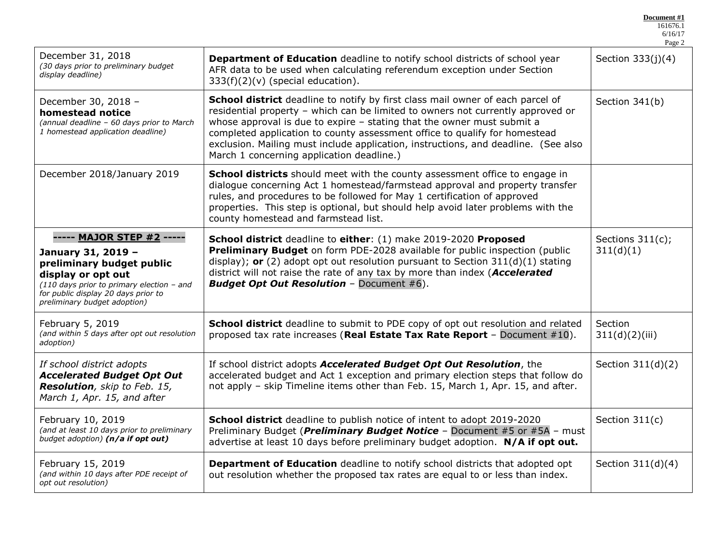|                                                                                                                                                                                                                                                                                                                                                                               |                                                                                                                                                                                                                                                                                                                                                                                                                                                                | 6/16/17<br>Page 2             |
|-------------------------------------------------------------------------------------------------------------------------------------------------------------------------------------------------------------------------------------------------------------------------------------------------------------------------------------------------------------------------------|----------------------------------------------------------------------------------------------------------------------------------------------------------------------------------------------------------------------------------------------------------------------------------------------------------------------------------------------------------------------------------------------------------------------------------------------------------------|-------------------------------|
| December 31, 2018<br>(30 days prior to preliminary budget<br>display deadline)                                                                                                                                                                                                                                                                                                | Department of Education deadline to notify school districts of school year<br>AFR data to be used when calculating referendum exception under Section<br>$333(f)(2)(v)$ (special education).                                                                                                                                                                                                                                                                   | Section $333(j)(4)$           |
| December 30, 2018 -<br>homestead notice<br>(annual deadline - 60 days prior to March<br>1 homestead application deadline)                                                                                                                                                                                                                                                     | School district deadline to notify by first class mail owner of each parcel of<br>residential property - which can be limited to owners not currently approved or<br>whose approval is due to expire $-$ stating that the owner must submit a<br>completed application to county assessment office to qualify for homestead<br>exclusion. Mailing must include application, instructions, and deadline. (See also<br>March 1 concerning application deadline.) | Section 341(b)                |
| December 2018/January 2019                                                                                                                                                                                                                                                                                                                                                    | <b>School districts</b> should meet with the county assessment office to engage in<br>dialogue concerning Act 1 homestead/farmstead approval and property transfer<br>rules, and procedures to be followed for May 1 certification of approved<br>properties. This step is optional, but should help avoid later problems with the<br>county homestead and farmstead list.                                                                                     |                               |
| ----- MAJOR STEP #2 -----<br>January 31, 2019 -<br>preliminary budget public<br>display or opt out<br>(110 days prior to primary election - and<br>for public display 20 days prior to<br>preliminary budget adoption)                                                                                                                                                        | School district deadline to either: (1) make 2019-2020 Proposed<br><b>Preliminary Budget</b> on form PDE-2028 available for public inspection (public<br>display); or (2) adopt opt out resolution pursuant to Section $311(d)(1)$ stating<br>district will not raise the rate of any tax by more than index (Accelerated<br><b>Budget Opt Out Resolution - Document #6).</b>                                                                                  | Sections 311(c);<br>311(d)(1) |
| February 5, 2019<br>(and within 5 days after opt out resolution<br>adoption)                                                                                                                                                                                                                                                                                                  | School district deadline to submit to PDE copy of opt out resolution and related<br>proposed tax rate increases (Real Estate Tax Rate Report - Document $#10$ ).                                                                                                                                                                                                                                                                                               | Section<br>311(d)(2)(iii)     |
| If school district adopts<br>If school district adopts Accelerated Budget Opt Out Resolution, the<br><b>Accelerated Budget Opt Out</b><br>accelerated budget and Act 1 exception and primary election steps that follow do<br>not apply - skip Timeline items other than Feb. 15, March 1, Apr. 15, and after.<br>Resolution, skip to Feb. 15,<br>March 1, Apr. 15, and after |                                                                                                                                                                                                                                                                                                                                                                                                                                                                | Section $311(d)(2)$           |
| February 10, 2019<br>(and at least 10 days prior to preliminary<br>budget adoption) (n/a if opt out)                                                                                                                                                                                                                                                                          | <b>School district</b> deadline to publish notice of intent to adopt 2019-2020<br>Preliminary Budget ( <i>Preliminary Budget Notice</i> - Document #5 or #5A - must<br>advertise at least 10 days before preliminary budget adoption. N/A if opt out.                                                                                                                                                                                                          | Section $311(c)$              |
| February 15, 2019<br>(and within 10 days after PDE receipt of<br>opt out resolution)                                                                                                                                                                                                                                                                                          | <b>Department of Education</b> deadline to notify school districts that adopted opt<br>out resolution whether the proposed tax rates are equal to or less than index.                                                                                                                                                                                                                                                                                          | Section $311(d)(4)$           |

**Document #1** 161676.1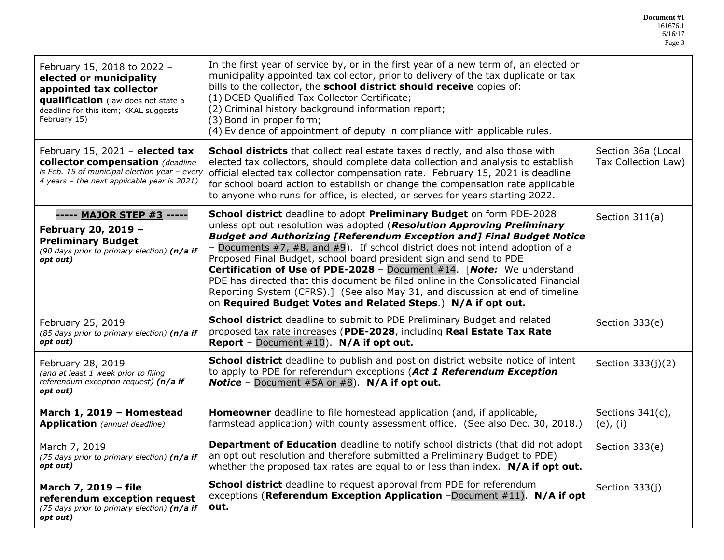**Document #1**

| February 15, 2018 to 2022 -<br>elected or municipality<br>appointed tax collector<br>qualification (law does not state a<br>deadline for this item; KKAL suggests<br>February 15) | In the first year of service by, or in the first year of a new term of, an elected or<br>municipality appointed tax collector, prior to delivery of the tax duplicate or tax<br>bills to the collector, the school district should receive copies of:<br>(1) DCED Qualified Tax Collector Certificate;<br>(2) Criminal history background information report;<br>(3) Bond in proper form;<br>(4) Evidence of appointment of deputy in compliance with applicable rules.                                                                                                                                                                                                                                         |                                           |
|-----------------------------------------------------------------------------------------------------------------------------------------------------------------------------------|-----------------------------------------------------------------------------------------------------------------------------------------------------------------------------------------------------------------------------------------------------------------------------------------------------------------------------------------------------------------------------------------------------------------------------------------------------------------------------------------------------------------------------------------------------------------------------------------------------------------------------------------------------------------------------------------------------------------|-------------------------------------------|
| February 15, 2021 - elected tax<br>collector compensation (deadline<br>is Feb. 15 of municipal election year - every<br>4 years - the next applicable year is 2021)               | School districts that collect real estate taxes directly, and also those with<br>elected tax collectors, should complete data collection and analysis to establish<br>official elected tax collector compensation rate. February 15, 2021 is deadline<br>for school board action to establish or change the compensation rate applicable<br>to anyone who runs for office, is elected, or serves for years starting 2022.                                                                                                                                                                                                                                                                                       | Section 36a (Local<br>Tax Collection Law) |
| ----- MAJOR STEP #3 -----<br>February 20, 2019 -<br><b>Preliminary Budget</b><br>(90 days prior to primary election) ( $n/a$ if<br>opt out)                                       | School district deadline to adopt Preliminary Budget on form PDE-2028<br>unless opt out resolution was adopted (Resolution Approving Preliminary<br><b>Budget and Authorizing [Referendum Exception and] Final Budget Notice</b><br>- Documents $#7$ , $#8$ , and $#9$ ). If school district does not intend adoption of a<br>Proposed Final Budget, school board president sign and send to PDE<br>Certification of Use of PDE-2028 - Document #14. [Note: We understand<br>PDE has directed that this document be filed online in the Consolidated Financial<br>Reporting System (CFRS).] (See also May 31, and discussion at end of timeline<br>on Required Budget Votes and Related Steps.) N/A if opt out. | Section 311(a)                            |
| February 25, 2019<br>(85 days prior to primary election) (n/a if<br>opt out)                                                                                                      | School district deadline to submit to PDE Preliminary Budget and related<br>proposed tax rate increases (PDE-2028, including Real Estate Tax Rate<br>Report - Document #10). N/A if opt out.                                                                                                                                                                                                                                                                                                                                                                                                                                                                                                                    | Section 333(e)                            |
| February 28, 2019<br>(and at least 1 week prior to filing<br>referendum exception request) (n/a if<br>opt out)                                                                    | School district deadline to publish and post on district website notice of intent<br>to apply to PDE for referendum exceptions (Act 1 Referendum Exception<br><b>Notice</b> - Document #5A or #8). $N/A$ if opt out.                                                                                                                                                                                                                                                                                                                                                                                                                                                                                            | Section 333(j)(2)                         |
| March 1, 2019 - Homestead<br><b>Application</b> (annual deadline)                                                                                                                 | <b>Homeowner</b> deadline to file homestead application (and, if applicable,<br>farmstead application) with county assessment office. (See also Dec. 30, 2018.)                                                                                                                                                                                                                                                                                                                                                                                                                                                                                                                                                 | Sections 341(c),<br>$(e)$ , $(i)$         |
| March 7, 2019<br>(75 days prior to primary election) (n/a if<br>opt out)                                                                                                          | Department of Education deadline to notify school districts (that did not adopt<br>an opt out resolution and therefore submitted a Preliminary Budget to PDE)<br>whether the proposed tax rates are equal to or less than index. $N/A$ if opt out.                                                                                                                                                                                                                                                                                                                                                                                                                                                              |                                           |
| March 7, 2019 - file<br>referendum exception request<br>(75 days prior to primary election) (n/a if<br>opt out)                                                                   | <b>School district</b> deadline to request approval from PDE for referendum<br>exceptions (Referendum Exception Application -Document #11). N/A if opt<br>out.                                                                                                                                                                                                                                                                                                                                                                                                                                                                                                                                                  | Section 333(j)                            |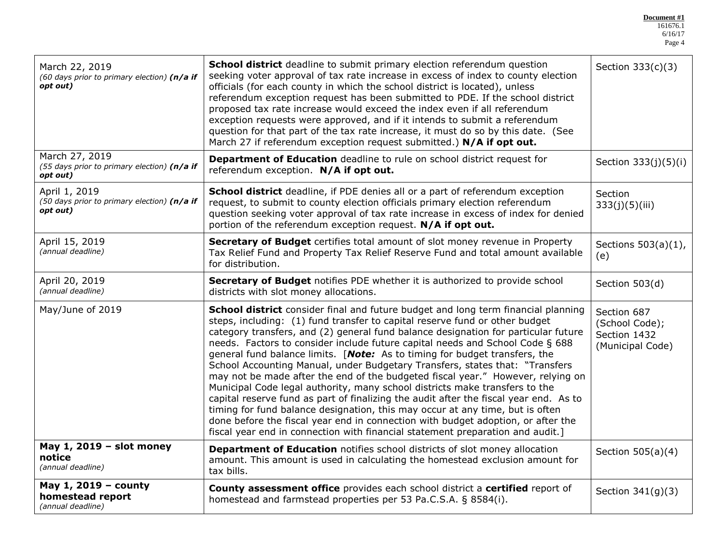**Document #1** 161676.1

| March 22, 2019<br>(60 days prior to primary election) (n/a if<br>opt out)                                                                                                                                                                                                                                                                                                                                                                                                                                                                                                                                                                                                                                                                                                                                                                                                                                                                                                                                                                   | <b>School district</b> deadline to submit primary election referendum question<br>seeking voter approval of tax rate increase in excess of index to county election<br>officials (for each county in which the school district is located), unless<br>referendum exception request has been submitted to PDE. If the school district<br>proposed tax rate increase would exceed the index even if all referendum<br>exception requests were approved, and if it intends to submit a referendum<br>question for that part of the tax rate increase, it must do so by this date. (See<br>March 27 if referendum exception request submitted.) N/A if opt out. | Section 333(c)(3)                                                 |
|---------------------------------------------------------------------------------------------------------------------------------------------------------------------------------------------------------------------------------------------------------------------------------------------------------------------------------------------------------------------------------------------------------------------------------------------------------------------------------------------------------------------------------------------------------------------------------------------------------------------------------------------------------------------------------------------------------------------------------------------------------------------------------------------------------------------------------------------------------------------------------------------------------------------------------------------------------------------------------------------------------------------------------------------|-------------------------------------------------------------------------------------------------------------------------------------------------------------------------------------------------------------------------------------------------------------------------------------------------------------------------------------------------------------------------------------------------------------------------------------------------------------------------------------------------------------------------------------------------------------------------------------------------------------------------------------------------------------|-------------------------------------------------------------------|
| March 27, 2019<br>(55 days prior to primary election) (n/a if<br>opt out)                                                                                                                                                                                                                                                                                                                                                                                                                                                                                                                                                                                                                                                                                                                                                                                                                                                                                                                                                                   | Department of Education deadline to rule on school district request for<br>referendum exception. N/A if opt out.                                                                                                                                                                                                                                                                                                                                                                                                                                                                                                                                            | Section 333(j)(5)(i)                                              |
| April 1, 2019<br>(50 days prior to primary election) (n/a if<br>opt out)                                                                                                                                                                                                                                                                                                                                                                                                                                                                                                                                                                                                                                                                                                                                                                                                                                                                                                                                                                    | School district deadline, if PDE denies all or a part of referendum exception<br>request, to submit to county election officials primary election referendum<br>question seeking voter approval of tax rate increase in excess of index for denied<br>portion of the referendum exception request. N/A if opt out.                                                                                                                                                                                                                                                                                                                                          | Section<br>333(j)(5)(iii)                                         |
| April 15, 2019<br>(annual deadline)                                                                                                                                                                                                                                                                                                                                                                                                                                                                                                                                                                                                                                                                                                                                                                                                                                                                                                                                                                                                         | Secretary of Budget certifies total amount of slot money revenue in Property<br>Tax Relief Fund and Property Tax Relief Reserve Fund and total amount available<br>for distribution.                                                                                                                                                                                                                                                                                                                                                                                                                                                                        | Sections $503(a)(1)$ ,<br>(e)                                     |
| April 20, 2019<br>(annual deadline)                                                                                                                                                                                                                                                                                                                                                                                                                                                                                                                                                                                                                                                                                                                                                                                                                                                                                                                                                                                                         | Secretary of Budget notifies PDE whether it is authorized to provide school<br>districts with slot money allocations.                                                                                                                                                                                                                                                                                                                                                                                                                                                                                                                                       | Section 503(d)                                                    |
| May/June of 2019<br>School district consider final and future budget and long term financial planning<br>steps, including: (1) fund transfer to capital reserve fund or other budget<br>category transfers, and (2) general fund balance designation for particular future<br>needs. Factors to consider include future capital needs and School Code § 688<br>general fund balance limits. [Note: As to timing for budget transfers, the<br>School Accounting Manual, under Budgetary Transfers, states that: "Transfers<br>may not be made after the end of the budgeted fiscal year." However, relying on<br>Municipal Code legal authority, many school districts make transfers to the<br>capital reserve fund as part of finalizing the audit after the fiscal year end. As to<br>timing for fund balance designation, this may occur at any time, but is often<br>done before the fiscal year end in connection with budget adoption, or after the<br>fiscal year end in connection with financial statement preparation and audit.] |                                                                                                                                                                                                                                                                                                                                                                                                                                                                                                                                                                                                                                                             | Section 687<br>(School Code);<br>Section 1432<br>(Municipal Code) |
| May 1, 2019 - slot money<br>notice<br>(annual deadline)                                                                                                                                                                                                                                                                                                                                                                                                                                                                                                                                                                                                                                                                                                                                                                                                                                                                                                                                                                                     | <b>Department of Education</b> notifies school districts of slot money allocation<br>amount. This amount is used in calculating the homestead exclusion amount for<br>tax bills.                                                                                                                                                                                                                                                                                                                                                                                                                                                                            | Section 505(a)(4)                                                 |
| May 1, 2019 - county<br>homestead report<br>(annual deadline)                                                                                                                                                                                                                                                                                                                                                                                                                                                                                                                                                                                                                                                                                                                                                                                                                                                                                                                                                                               | County assessment office provides each school district a certified report of<br>homestead and farmstead properties per 53 Pa.C.S.A. § 8584(i).                                                                                                                                                                                                                                                                                                                                                                                                                                                                                                              | Section $341(g)(3)$                                               |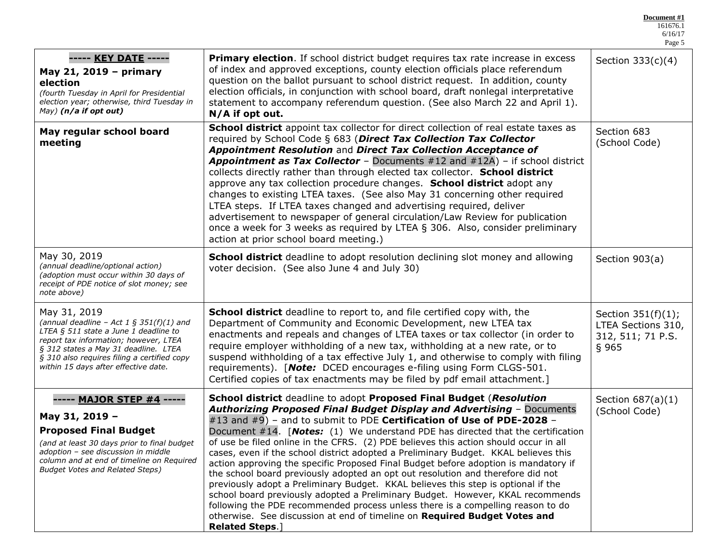Page 5 **----- KEY DATE ----- May 21, 2019 – primary election** *(fourth Tuesday in April for Presidential election year; otherwise, third Tuesday in May) (n/a if opt out)* **Primary election**. If school district budget requires tax rate increase in excess of index and approved exceptions, county election officials place referendum question on the ballot pursuant to school district request. In addition, county election officials, in conjunction with school board, draft nonlegal interpretative statement to accompany referendum question. (See also March 22 and April 1). **N/A if opt out.** Section 333(c)(4) **May regular school board meeting School district** appoint tax collector for direct collection of real estate taxes as required by School Code § 683 (*Direct Tax Collection Tax Collector Appointment Resolution* and *Direct Tax Collection Acceptance of Appointment as Tax Collector* – Documents #12 and #12A) – if school district collects directly rather than through elected tax collector. **School district** approve any tax collection procedure changes. **School district** adopt any changes to existing LTEA taxes. (See also May 31 concerning other required LTEA steps. If LTEA taxes changed and advertising required, deliver advertisement to newspaper of general circulation/Law Review for publication once a week for 3 weeks as required by LTEA § 306. Also, consider preliminary action at prior school board meeting.) Section 683 (School Code) May 30, 2019 *(annual deadline/optional action) (adoption must occur within 30 days of receipt of PDE notice of slot money; see note above)* **School district** deadline to adopt resolution declining slot money and allowing voter decision. (See also June 4 and July 30) Section 903(a) May 31, 2019 *(annual deadline – Act 1 § 351(f)(1) and LTEA § 511 state a June 1 deadline to report tax information; however, LTEA § 312 states a May 31 deadline. LTEA § 310 also requires filing a certified copy within 15 days after effective date.* **School district** deadline to report to, and file certified copy with, the Department of Community and Economic Development, new LTEA tax enactments and repeals and changes of LTEA taxes or tax collector (in order to require employer withholding of a new tax, withholding at a new rate, or to suspend withholding of a tax effective July 1, and otherwise to comply with filing requirements). [*Note:* DCED encourages e-filing using Form CLGS-501. Certified copies of tax enactments may be filed by pdf email attachment.] Section 351(f)(1); LTEA Sections 310, 312, 511; 71 P.S. § 965 **----- MAJOR STEP #4 ----- May 31, 2019 – Proposed Final Budget** *(and at least 30 days prior to final budget adoption – see discussion in middle column and at end of timeline on Required Budget Votes and Related Steps)* **School district** deadline to adopt **Proposed Final Budget** (*Resolution Authorizing Proposed Final Budget Display and Advertising* – Documents #13 and #9) – and to submit to PDE **Certification of Use of PDE-2028** – Document #14. [*Notes:* (1) We understand PDE has directed that the certification of use be filed online in the CFRS. (2) PDE believes this action should occur in all cases, even if the school district adopted a Preliminary Budget. KKAL believes this action approving the specific Proposed Final Budget before adoption is mandatory if the school board previously adopted an opt out resolution and therefore did not previously adopt a Preliminary Budget. KKAL believes this step is optional if the school board previously adopted a Preliminary Budget. However, KKAL recommends following the PDE recommended process unless there is a compelling reason to do otherwise. See discussion at end of timeline on **Required Budget Votes and**  Section 687(a)(1) (School Code)

**Related Steps**.]

**Document #1** 161676.1 6/16/17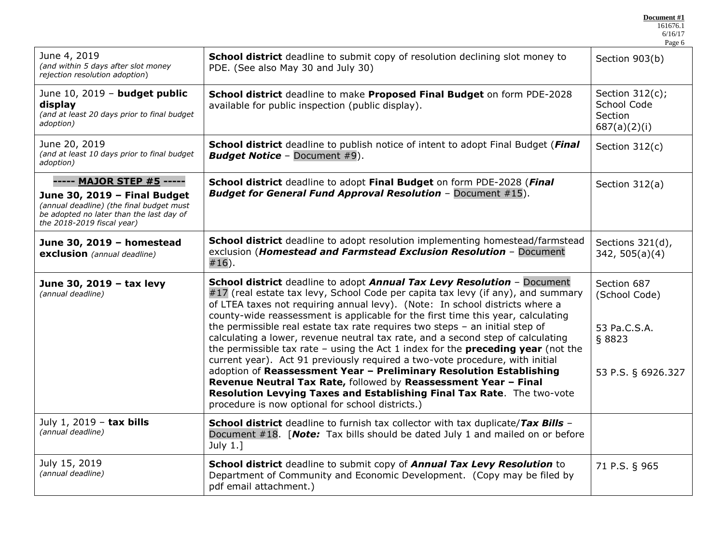| Document #1 |  |
|-------------|--|
|             |  |

|                                                                                                                                                                                 |                                                                                                                                                                                                                                                                                                                                                                                                                                                                                                                                                                                                                                                                                                                                                                                                                                                                                                                                                         | Page 6                                                                       |
|---------------------------------------------------------------------------------------------------------------------------------------------------------------------------------|---------------------------------------------------------------------------------------------------------------------------------------------------------------------------------------------------------------------------------------------------------------------------------------------------------------------------------------------------------------------------------------------------------------------------------------------------------------------------------------------------------------------------------------------------------------------------------------------------------------------------------------------------------------------------------------------------------------------------------------------------------------------------------------------------------------------------------------------------------------------------------------------------------------------------------------------------------|------------------------------------------------------------------------------|
| June 4, 2019<br>(and within 5 days after slot money<br>rejection resolution adoption)                                                                                           | School district deadline to submit copy of resolution declining slot money to<br>PDE. (See also May 30 and July 30)                                                                                                                                                                                                                                                                                                                                                                                                                                                                                                                                                                                                                                                                                                                                                                                                                                     | Section 903(b)                                                               |
| June 10, 2019 - budget public<br>display<br>(and at least 20 days prior to final budget<br>adoption)                                                                            | School district deadline to make Proposed Final Budget on form PDE-2028<br>available for public inspection (public display).                                                                                                                                                                                                                                                                                                                                                                                                                                                                                                                                                                                                                                                                                                                                                                                                                            | Section $312(c)$ ;<br>School Code<br>Section<br>687(a)(2)(i)                 |
| June 20, 2019<br>(and at least 10 days prior to final budget<br>adoption)                                                                                                       | School district deadline to publish notice of intent to adopt Final Budget (Final<br><b>Budget Notice - Document #9).</b>                                                                                                                                                                                                                                                                                                                                                                                                                                                                                                                                                                                                                                                                                                                                                                                                                               | Section 312(c)                                                               |
| ----- MAJOR STEP #5 -----<br>June 30, 2019 - Final Budget<br>(annual deadline) (the final budget must<br>be adopted no later than the last day of<br>the 2018-2019 fiscal year) | School district deadline to adopt Final Budget on form PDE-2028 (Final<br><b>Budget for General Fund Approval Resolution - Document #15).</b>                                                                                                                                                                                                                                                                                                                                                                                                                                                                                                                                                                                                                                                                                                                                                                                                           | Section 312(a)                                                               |
| June 30, 2019 - homestead<br>exclusion (annual deadline)                                                                                                                        | School district deadline to adopt resolution implementing homestead/farmstead<br>exclusion (Homestead and Farmstead Exclusion Resolution - Document<br>$#16$ ).                                                                                                                                                                                                                                                                                                                                                                                                                                                                                                                                                                                                                                                                                                                                                                                         | Sections 321(d),<br>342, 505(a)(4)                                           |
| June 30, 2019 - tax levy<br>(annual deadline)                                                                                                                                   | School district deadline to adopt Annual Tax Levy Resolution - Document<br>#17 (real estate tax levy, School Code per capita tax levy (if any), and summary<br>of LTEA taxes not requiring annual levy). (Note: In school districts where a<br>county-wide reassessment is applicable for the first time this year, calculating<br>the permissible real estate tax rate requires two steps - an initial step of<br>calculating a lower, revenue neutral tax rate, and a second step of calculating<br>the permissible tax rate $-$ using the Act 1 index for the <b>preceding year</b> (not the<br>current year). Act 91 previously required a two-vote procedure, with initial<br>adoption of Reassessment Year - Preliminary Resolution Establishing<br>Revenue Neutral Tax Rate, followed by Reassessment Year - Final<br>Resolution Levying Taxes and Establishing Final Tax Rate. The two-vote<br>procedure is now optional for school districts.) | Section 687<br>(School Code)<br>53 Pa.C.S.A.<br>§ 8823<br>53 P.S. § 6926.327 |
| July 1, 2019 - tax bills<br>(annual deadline)                                                                                                                                   | School district deadline to furnish tax collector with tax duplicate/Tax Bills -<br>Document #18. [Note: Tax bills should be dated July 1 and mailed on or before<br>July $1.]$                                                                                                                                                                                                                                                                                                                                                                                                                                                                                                                                                                                                                                                                                                                                                                         |                                                                              |
| July 15, 2019<br>(annual deadline)                                                                                                                                              | School district deadline to submit copy of Annual Tax Levy Resolution to<br>Department of Community and Economic Development. (Copy may be filed by<br>pdf email attachment.)                                                                                                                                                                                                                                                                                                                                                                                                                                                                                                                                                                                                                                                                                                                                                                           | 71 P.S. § 965                                                                |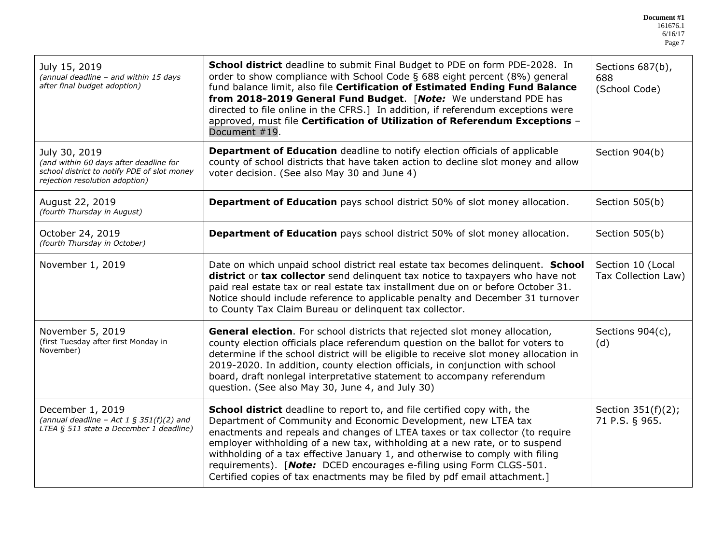**Document #1** 161676.1 6/16/17 Page 7

| School district deadline to submit Final Budget to PDE on form PDE-2028. In<br>July 15, 2019<br>order to show compliance with School Code § 688 eight percent (8%) general<br>(annual deadline - and within 15 days<br>after final budget adoption)<br>fund balance limit, also file Certification of Estimated Ending Fund Balance<br>from 2018-2019 General Fund Budget. [Note: We understand PDE has<br>directed to file online in the CFRS.] In addition, if referendum exceptions were<br>approved, must file Certification of Utilization of Referendum Exceptions -<br>Document #19.                                                                |                                                                                                                                                                                                                                                                                                                                                                                                                                                                        | Sections 687(b),<br>688<br>(School Code) |
|------------------------------------------------------------------------------------------------------------------------------------------------------------------------------------------------------------------------------------------------------------------------------------------------------------------------------------------------------------------------------------------------------------------------------------------------------------------------------------------------------------------------------------------------------------------------------------------------------------------------------------------------------------|------------------------------------------------------------------------------------------------------------------------------------------------------------------------------------------------------------------------------------------------------------------------------------------------------------------------------------------------------------------------------------------------------------------------------------------------------------------------|------------------------------------------|
| July 30, 2019<br>(and within 60 days after deadline for<br>school district to notify PDE of slot money<br>rejection resolution adoption)                                                                                                                                                                                                                                                                                                                                                                                                                                                                                                                   | Department of Education deadline to notify election officials of applicable<br>Section 904(b)<br>county of school districts that have taken action to decline slot money and allow<br>voter decision. (See also May 30 and June 4)                                                                                                                                                                                                                                     |                                          |
| August 22, 2019<br>(fourth Thursday in August)                                                                                                                                                                                                                                                                                                                                                                                                                                                                                                                                                                                                             | <b>Department of Education</b> pays school district 50% of slot money allocation.                                                                                                                                                                                                                                                                                                                                                                                      | Section 505(b)                           |
| October 24, 2019<br>(fourth Thursday in October)                                                                                                                                                                                                                                                                                                                                                                                                                                                                                                                                                                                                           | <b>Department of Education</b> pays school district 50% of slot money allocation.                                                                                                                                                                                                                                                                                                                                                                                      |                                          |
| November 1, 2019                                                                                                                                                                                                                                                                                                                                                                                                                                                                                                                                                                                                                                           | Date on which unpaid school district real estate tax becomes delinquent. School<br>district or tax collector send delinquent tax notice to taxpayers who have not<br>paid real estate tax or real estate tax installment due on or before October 31.<br>Notice should include reference to applicable penalty and December 31 turnover<br>to County Tax Claim Bureau or delinquent tax collector.                                                                     |                                          |
| November 5, 2019<br>(first Tuesday after first Monday in<br>November)                                                                                                                                                                                                                                                                                                                                                                                                                                                                                                                                                                                      | General election. For school districts that rejected slot money allocation,<br>county election officials place referendum question on the ballot for voters to<br>determine if the school district will be eligible to receive slot money allocation in<br>2019-2020. In addition, county election officials, in conjunction with school<br>board, draft nonlegal interpretative statement to accompany referendum<br>question. (See also May 30, June 4, and July 30) |                                          |
| School district deadline to report to, and file certified copy with, the<br>December 1, 2019<br>(annual deadline - Act 1 § 351(f)(2) and<br>Department of Community and Economic Development, new LTEA tax<br>LTEA § 511 state a December 1 deadline)<br>enactments and repeals and changes of LTEA taxes or tax collector (to require<br>employer withholding of a new tax, withholding at a new rate, or to suspend<br>withholding of a tax effective January 1, and otherwise to comply with filing<br>requirements). [Note: DCED encourages e-filing using Form CLGS-501.<br>Certified copies of tax enactments may be filed by pdf email attachment.] |                                                                                                                                                                                                                                                                                                                                                                                                                                                                        | Section 351(f)(2);<br>71 P.S. § 965.     |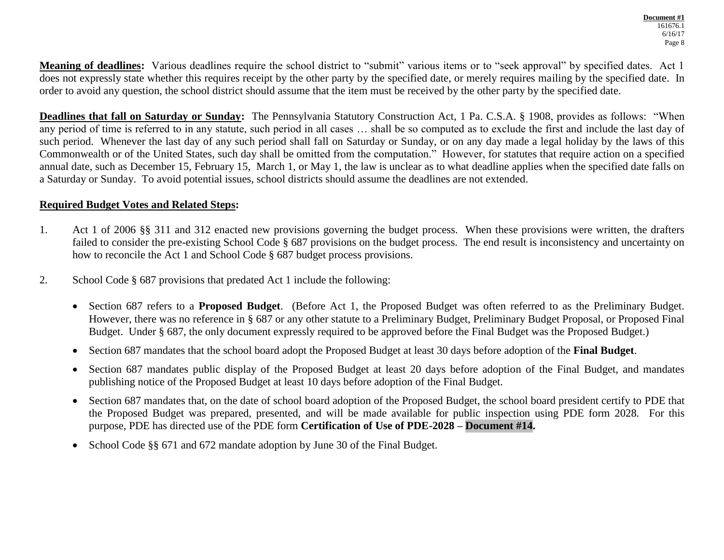**Meaning of deadlines:** Various deadlines require the school district to "submit" various items or to "seek approval" by specified dates. Act 1 does not expressly state whether this requires receipt by the other party by the specified date, or merely requires mailing by the specified date. In order to avoid any question, the school district should assume that the item must be received by the other party by the specified date.

**Deadlines that fall on Saturday or Sunday:** The Pennsylvania Statutory Construction Act, 1 Pa. C.S.A. § 1908, provides as follows: "When any period of time is referred to in any statute, such period in all cases … shall be so computed as to exclude the first and include the last day of such period. Whenever the last day of any such period shall fall on Saturday or Sunday, or on any day made a legal holiday by the laws of this Commonwealth or of the United States, such day shall be omitted from the computation." However, for statutes that require action on a specified annual date, such as December 15, February 15, March 1, or May 1, the law is unclear as to what deadline applies when the specified date falls on a Saturday or Sunday. To avoid potential issues, school districts should assume the deadlines are not extended.

#### **Required Budget Votes and Related Steps:**

- 1. Act 1 of 2006 §§ 311 and 312 enacted new provisions governing the budget process. When these provisions were written, the drafters failed to consider the pre-existing School Code § 687 provisions on the budget process. The end result is inconsistency and uncertainty on how to reconcile the Act 1 and School Code § 687 budget process provisions.
- 2. School Code § 687 provisions that predated Act 1 include the following:
	- Section 687 refers to a **Proposed Budget**. (Before Act 1, the Proposed Budget was often referred to as the Preliminary Budget. However, there was no reference in § 687 or any other statute to a Preliminary Budget, Preliminary Budget Proposal, or Proposed Final Budget. Under § 687, the only document expressly required to be approved before the Final Budget was the Proposed Budget.)
	- Section 687 mandates that the school board adopt the Proposed Budget at least 30 days before adoption of the **Final Budget**.
	- Section 687 mandates public display of the Proposed Budget at least 20 days before adoption of the Final Budget, and mandates publishing notice of the Proposed Budget at least 10 days before adoption of the Final Budget.
	- Section 687 mandates that, on the date of school board adoption of the Proposed Budget, the school board president certify to PDE that the Proposed Budget was prepared, presented, and will be made available for public inspection using PDE form 2028. For this purpose, PDE has directed use of the PDE form **Certification of Use of PDE-2028 – Document #14.**
	- School Code §§ 671 and 672 mandate adoption by June 30 of the Final Budget.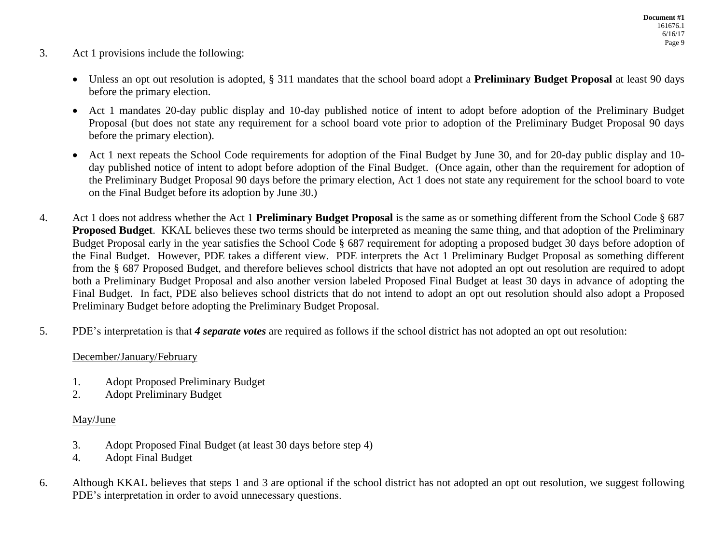- 3. Act 1 provisions include the following:
	- Unless an opt out resolution is adopted, § 311 mandates that the school board adopt a **Preliminary Budget Proposal** at least 90 days before the primary election.
	- Act 1 mandates 20-day public display and 10-day published notice of intent to adopt before adoption of the Preliminary Budget Proposal (but does not state any requirement for a school board vote prior to adoption of the Preliminary Budget Proposal 90 days before the primary election).
	- Act 1 next repeats the School Code requirements for adoption of the Final Budget by June 30, and for 20-day public display and 10day published notice of intent to adopt before adoption of the Final Budget. (Once again, other than the requirement for adoption of the Preliminary Budget Proposal 90 days before the primary election, Act 1 does not state any requirement for the school board to vote on the Final Budget before its adoption by June 30.)
- 4. Act 1 does not address whether the Act 1 **Preliminary Budget Proposal** is the same as or something different from the School Code § 687 **Proposed Budget**. KKAL believes these two terms should be interpreted as meaning the same thing, and that adoption of the Preliminary Budget Proposal early in the year satisfies the School Code § 687 requirement for adopting a proposed budget 30 days before adoption of the Final Budget. However, PDE takes a different view. PDE interprets the Act 1 Preliminary Budget Proposal as something different from the § 687 Proposed Budget, and therefore believes school districts that have not adopted an opt out resolution are required to adopt both a Preliminary Budget Proposal and also another version labeled Proposed Final Budget at least 30 days in advance of adopting the Final Budget. In fact, PDE also believes school districts that do not intend to adopt an opt out resolution should also adopt a Proposed Preliminary Budget before adopting the Preliminary Budget Proposal.
- 5. PDE's interpretation is that *4 separate votes* are required as follows if the school district has not adopted an opt out resolution:

## December/January/February

- 1. Adopt Proposed Preliminary Budget
- 2. Adopt Preliminary Budget

## May/June

- 3. Adopt Proposed Final Budget (at least 30 days before step 4)
- 4. Adopt Final Budget
- 6. Although KKAL believes that steps 1 and 3 are optional if the school district has not adopted an opt out resolution, we suggest following PDE's interpretation in order to avoid unnecessary questions.